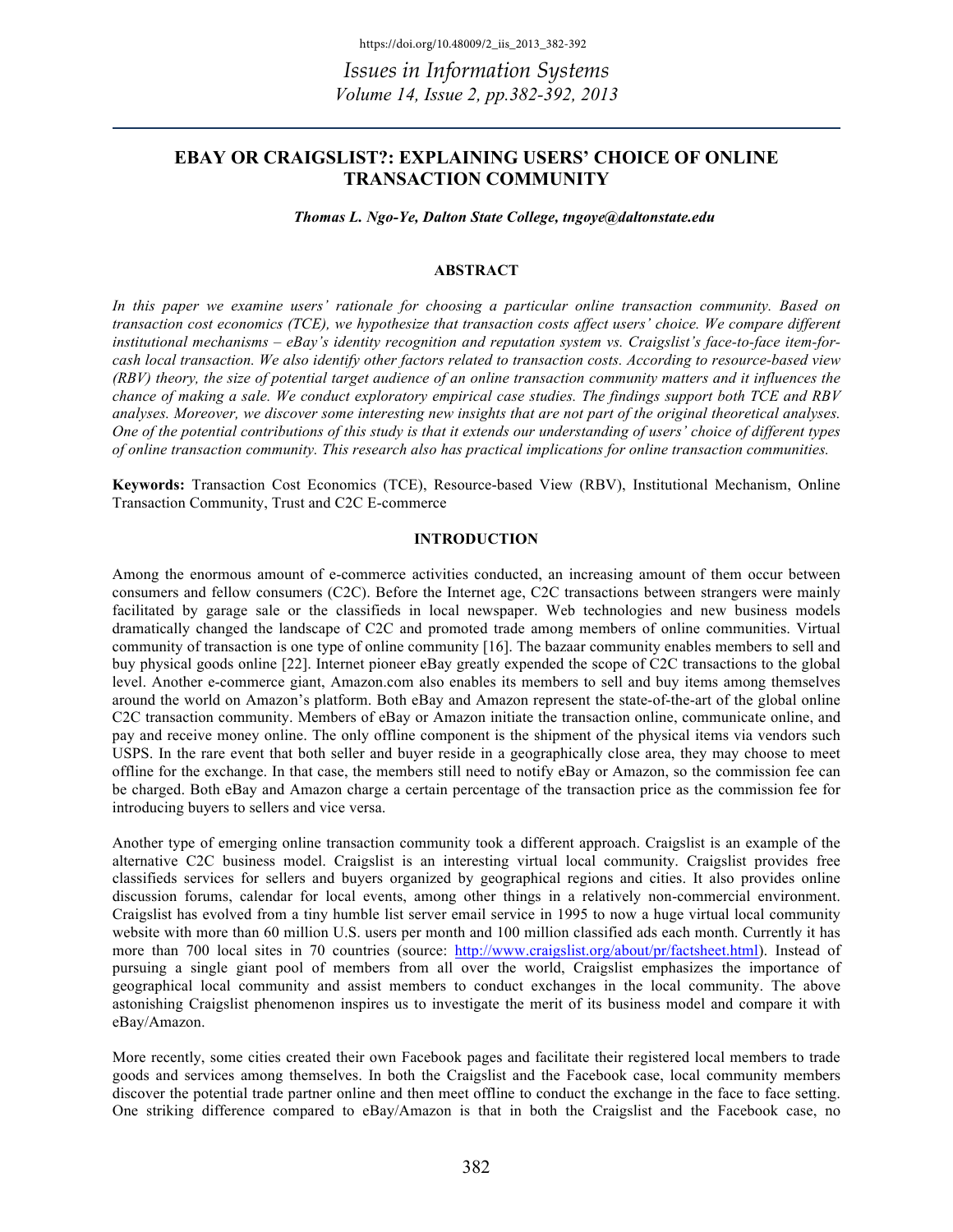# **EBAY OR CRAIGSLIST?: EXPLAINING USERS' CHOICE OF ONLINE TRANSACTION COMMUNITY**

*Thomas L. Ngo-Ye, Dalton State College, tngoye@daltonstate.edu*

### **ABSTRACT**

*In this paper we examine users' rationale for choosing a particular online transaction community. Based on transaction cost economics (TCE), we hypothesize that transaction costs affect users' choice. We compare different institutional mechanisms – eBay's identity recognition and reputation system vs. Craigslist's face-to-face item-forcash local transaction. We also identify other factors related to transaction costs. According to resource-based view (RBV) theory, the size of potential target audience of an online transaction community matters and it influences the chance of making a sale. We conduct exploratory empirical case studies. The findings support both TCE and RBV analyses. Moreover, we discover some interesting new insights that are not part of the original theoretical analyses. One of the potential contributions of this study is that it extends our understanding of users' choice of different types of online transaction community. This research also has practical implications for online transaction communities.*

**Keywords:** Transaction Cost Economics (TCE), Resource-based View (RBV), Institutional Mechanism, Online Transaction Community, Trust and C2C E-commerce

# **INTRODUCTION**

Among the enormous amount of e-commerce activities conducted, an increasing amount of them occur between consumers and fellow consumers (C2C). Before the Internet age, C2C transactions between strangers were mainly facilitated by garage sale or the classifieds in local newspaper. Web technologies and new business models dramatically changed the landscape of C2C and promoted trade among members of online communities. Virtual community of transaction is one type of online community [16]. The bazaar community enables members to sell and buy physical goods online [22]. Internet pioneer eBay greatly expended the scope of C2C transactions to the global level. Another e-commerce giant, Amazon.com also enables its members to sell and buy items among themselves around the world on Amazon's platform. Both eBay and Amazon represent the state-of-the-art of the global online C2C transaction community. Members of eBay or Amazon initiate the transaction online, communicate online, and pay and receive money online. The only offline component is the shipment of the physical items via vendors such USPS. In the rare event that both seller and buyer reside in a geographically close area, they may choose to meet offline for the exchange. In that case, the members still need to notify eBay or Amazon, so the commission fee can be charged. Both eBay and Amazon charge a certain percentage of the transaction price as the commission fee for introducing buyers to sellers and vice versa.

Another type of emerging online transaction community took a different approach. Craigslist is an example of the alternative C2C business model. Craigslist is an interesting virtual local community. Craigslist provides free classifieds services for sellers and buyers organized by geographical regions and cities. It also provides online discussion forums, calendar for local events, among other things in a relatively non-commercial environment. Craigslist has evolved from a tiny humble list server email service in 1995 to now a huge virtual local community website with more than 60 million U.S. users per month and 100 million classified ads each month. Currently it has more than 700 local sites in 70 countries (source: http://www.craigslist.org/about/pr/factsheet.html). Instead of pursuing a single giant pool of members from all over the world, Craigslist emphasizes the importance of geographical local community and assist members to conduct exchanges in the local community. The above astonishing Craigslist phenomenon inspires us to investigate the merit of its business model and compare it with eBay/Amazon.

More recently, some cities created their own Facebook pages and facilitate their registered local members to trade goods and services among themselves. In both the Craigslist and the Facebook case, local community members discover the potential trade partner online and then meet offline to conduct the exchange in the face to face setting. One striking difference compared to eBay/Amazon is that in both the Craigslist and the Facebook case, no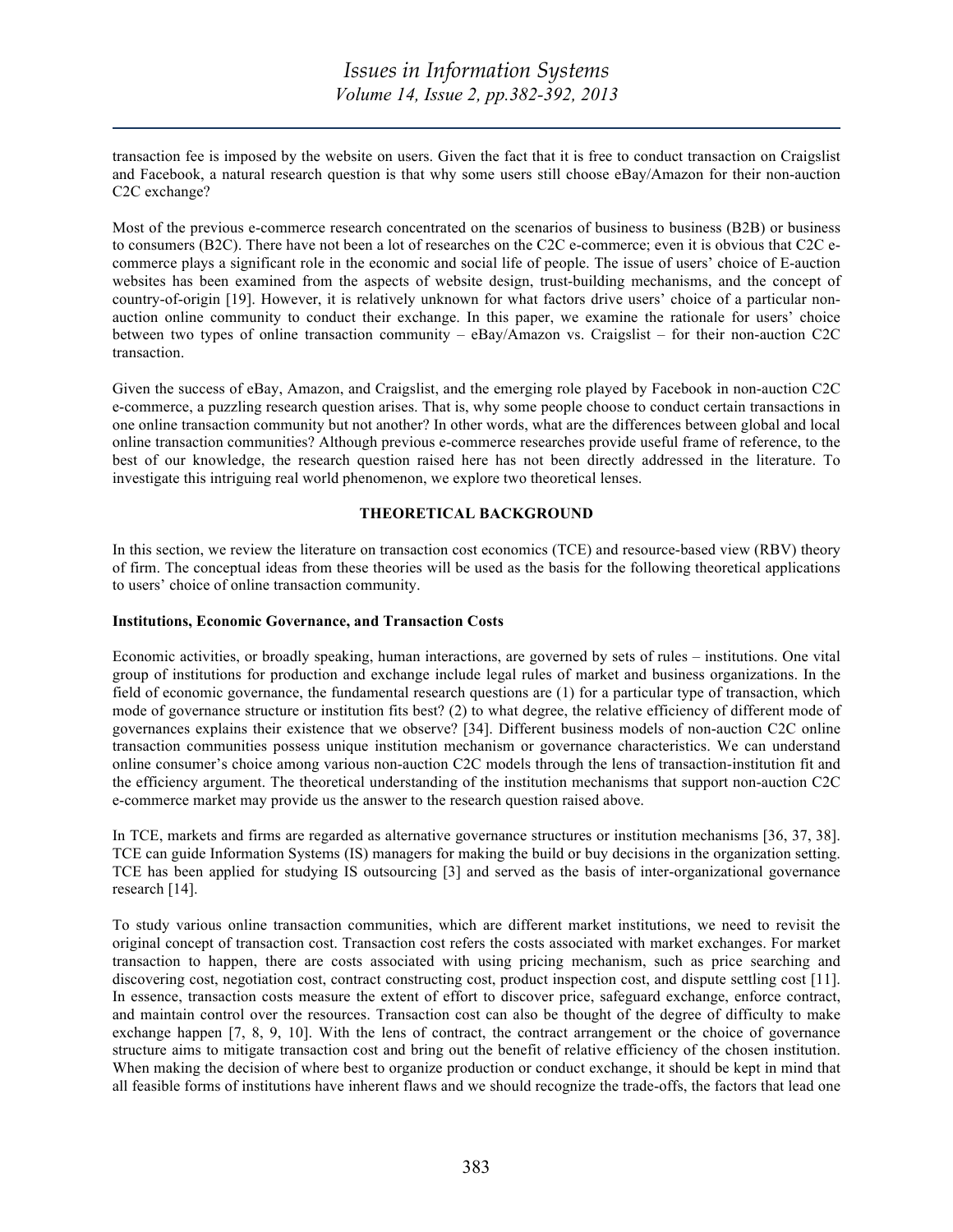transaction fee is imposed by the website on users. Given the fact that it is free to conduct transaction on Craigslist and Facebook, a natural research question is that why some users still choose eBay/Amazon for their non-auction C2C exchange?

Most of the previous e-commerce research concentrated on the scenarios of business to business (B2B) or business to consumers (B2C). There have not been a lot of researches on the C2C e-commerce; even it is obvious that C2C ecommerce plays a significant role in the economic and social life of people. The issue of users' choice of E-auction websites has been examined from the aspects of website design, trust-building mechanisms, and the concept of country-of-origin [19]. However, it is relatively unknown for what factors drive users' choice of a particular nonauction online community to conduct their exchange. In this paper, we examine the rationale for users' choice between two types of online transaction community – eBay/Amazon vs. Craigslist – for their non-auction C2C transaction.

Given the success of eBay, Amazon, and Craigslist, and the emerging role played by Facebook in non-auction C2C e-commerce, a puzzling research question arises. That is, why some people choose to conduct certain transactions in one online transaction community but not another? In other words, what are the differences between global and local online transaction communities? Although previous e-commerce researches provide useful frame of reference, to the best of our knowledge, the research question raised here has not been directly addressed in the literature. To investigate this intriguing real world phenomenon, we explore two theoretical lenses.

# **THEORETICAL BACKGROUND**

In this section, we review the literature on transaction cost economics (TCE) and resource-based view (RBV) theory of firm. The conceptual ideas from these theories will be used as the basis for the following theoretical applications to users' choice of online transaction community.

### **Institutions, Economic Governance, and Transaction Costs**

Economic activities, or broadly speaking, human interactions, are governed by sets of rules – institutions. One vital group of institutions for production and exchange include legal rules of market and business organizations. In the field of economic governance, the fundamental research questions are (1) for a particular type of transaction, which mode of governance structure or institution fits best? (2) to what degree, the relative efficiency of different mode of governances explains their existence that we observe? [34]. Different business models of non-auction C2C online transaction communities possess unique institution mechanism or governance characteristics. We can understand online consumer's choice among various non-auction C2C models through the lens of transaction-institution fit and the efficiency argument. The theoretical understanding of the institution mechanisms that support non-auction C2C e-commerce market may provide us the answer to the research question raised above.

In TCE, markets and firms are regarded as alternative governance structures or institution mechanisms [36, 37, 38]. TCE can guide Information Systems (IS) managers for making the build or buy decisions in the organization setting. TCE has been applied for studying IS outsourcing [3] and served as the basis of inter-organizational governance research [14].

To study various online transaction communities, which are different market institutions, we need to revisit the original concept of transaction cost. Transaction cost refers the costs associated with market exchanges. For market transaction to happen, there are costs associated with using pricing mechanism, such as price searching and discovering cost, negotiation cost, contract constructing cost, product inspection cost, and dispute settling cost [11]. In essence, transaction costs measure the extent of effort to discover price, safeguard exchange, enforce contract, and maintain control over the resources. Transaction cost can also be thought of the degree of difficulty to make exchange happen [7, 8, 9, 10]. With the lens of contract, the contract arrangement or the choice of governance structure aims to mitigate transaction cost and bring out the benefit of relative efficiency of the chosen institution. When making the decision of where best to organize production or conduct exchange, it should be kept in mind that all feasible forms of institutions have inherent flaws and we should recognize the trade-offs, the factors that lead one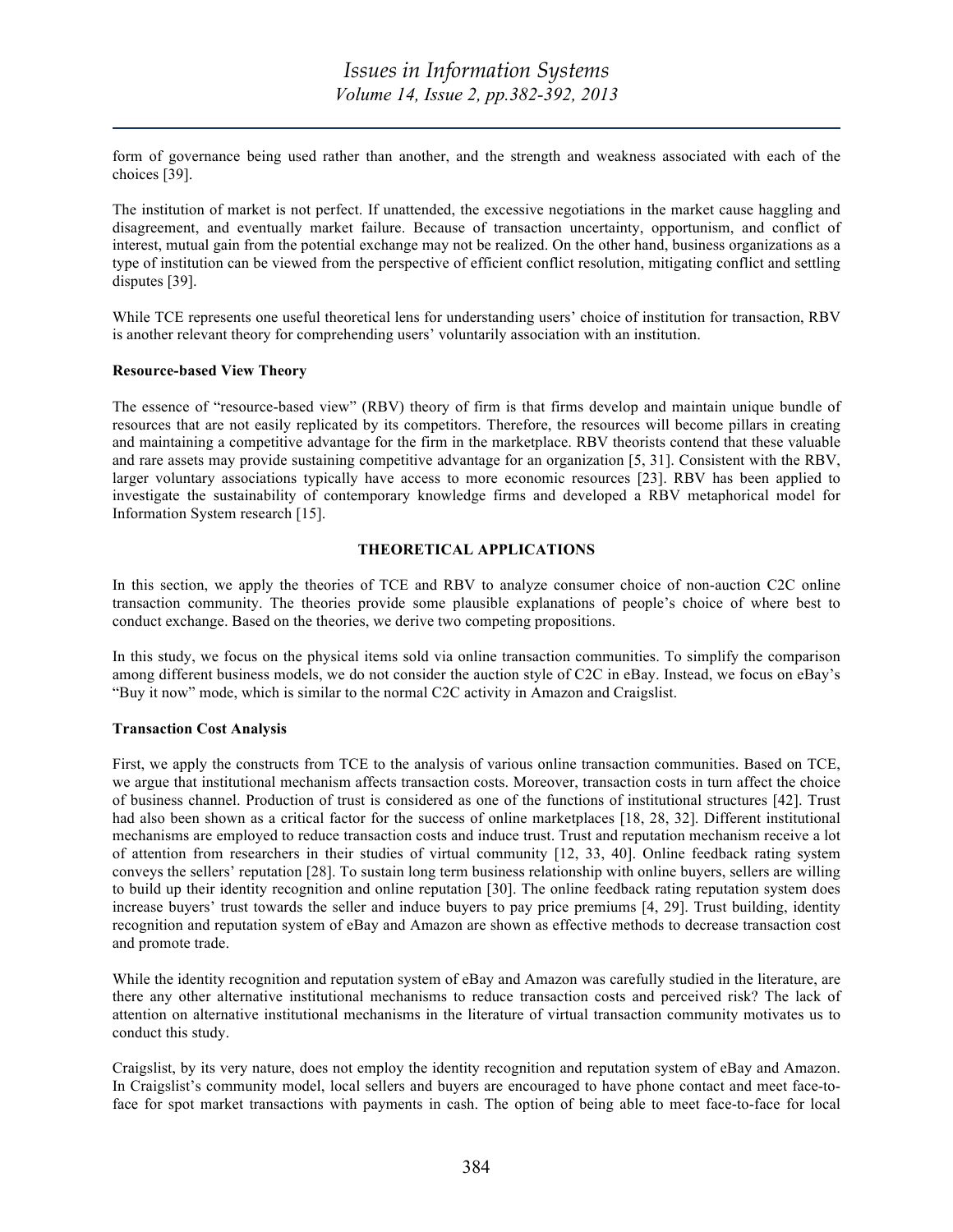form of governance being used rather than another, and the strength and weakness associated with each of the choices [39].

The institution of market is not perfect. If unattended, the excessive negotiations in the market cause haggling and disagreement, and eventually market failure. Because of transaction uncertainty, opportunism, and conflict of interest, mutual gain from the potential exchange may not be realized. On the other hand, business organizations as a type of institution can be viewed from the perspective of efficient conflict resolution, mitigating conflict and settling disputes [39].

While TCE represents one useful theoretical lens for understanding users' choice of institution for transaction, RBV is another relevant theory for comprehending users' voluntarily association with an institution.

### **Resource-based View Theory**

The essence of "resource-based view" (RBV) theory of firm is that firms develop and maintain unique bundle of resources that are not easily replicated by its competitors. Therefore, the resources will become pillars in creating and maintaining a competitive advantage for the firm in the marketplace. RBV theorists contend that these valuable and rare assets may provide sustaining competitive advantage for an organization [5, 31]. Consistent with the RBV, larger voluntary associations typically have access to more economic resources [23]. RBV has been applied to investigate the sustainability of contemporary knowledge firms and developed a RBV metaphorical model for Information System research [15].

### **THEORETICAL APPLICATIONS**

In this section, we apply the theories of TCE and RBV to analyze consumer choice of non-auction C2C online transaction community. The theories provide some plausible explanations of people's choice of where best to conduct exchange. Based on the theories, we derive two competing propositions.

In this study, we focus on the physical items sold via online transaction communities. To simplify the comparison among different business models, we do not consider the auction style of C2C in eBay. Instead, we focus on eBay's "Buy it now" mode, which is similar to the normal C2C activity in Amazon and Craigslist.

### **Transaction Cost Analysis**

First, we apply the constructs from TCE to the analysis of various online transaction communities. Based on TCE, we argue that institutional mechanism affects transaction costs. Moreover, transaction costs in turn affect the choice of business channel. Production of trust is considered as one of the functions of institutional structures [42]. Trust had also been shown as a critical factor for the success of online marketplaces [18, 28, 32]. Different institutional mechanisms are employed to reduce transaction costs and induce trust. Trust and reputation mechanism receive a lot of attention from researchers in their studies of virtual community [12, 33, 40]. Online feedback rating system conveys the sellers' reputation [28]. To sustain long term business relationship with online buyers, sellers are willing to build up their identity recognition and online reputation [30]. The online feedback rating reputation system does increase buyers' trust towards the seller and induce buyers to pay price premiums [4, 29]. Trust building, identity recognition and reputation system of eBay and Amazon are shown as effective methods to decrease transaction cost and promote trade.

While the identity recognition and reputation system of eBay and Amazon was carefully studied in the literature, are there any other alternative institutional mechanisms to reduce transaction costs and perceived risk? The lack of attention on alternative institutional mechanisms in the literature of virtual transaction community motivates us to conduct this study.

Craigslist, by its very nature, does not employ the identity recognition and reputation system of eBay and Amazon. In Craigslist's community model, local sellers and buyers are encouraged to have phone contact and meet face-toface for spot market transactions with payments in cash. The option of being able to meet face-to-face for local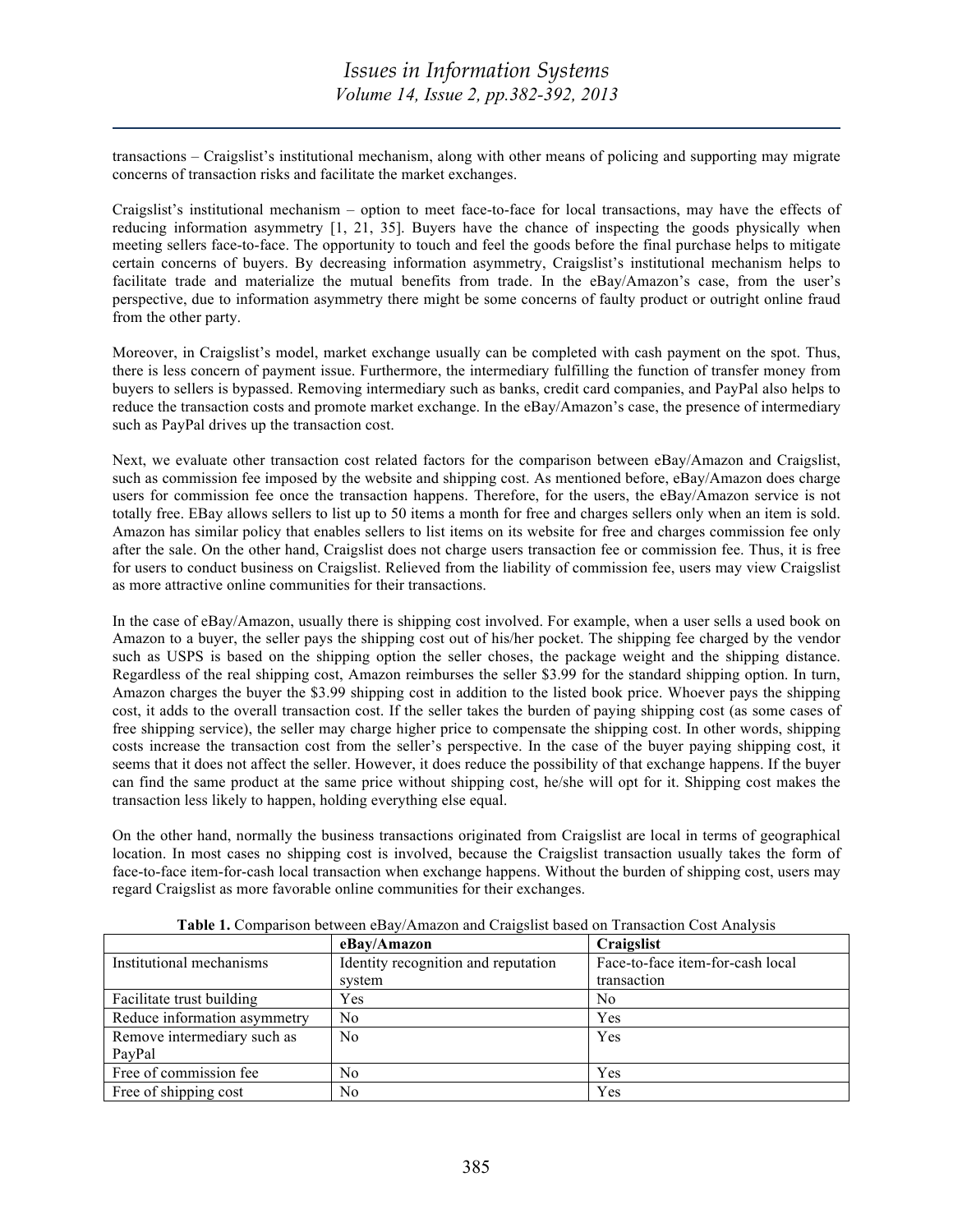transactions – Craigslist's institutional mechanism, along with other means of policing and supporting may migrate concerns of transaction risks and facilitate the market exchanges.

Craigslist's institutional mechanism – option to meet face-to-face for local transactions, may have the effects of reducing information asymmetry [1, 21, 35]. Buyers have the chance of inspecting the goods physically when meeting sellers face-to-face. The opportunity to touch and feel the goods before the final purchase helps to mitigate certain concerns of buyers. By decreasing information asymmetry, Craigslist's institutional mechanism helps to facilitate trade and materialize the mutual benefits from trade. In the eBay/Amazon's case, from the user's perspective, due to information asymmetry there might be some concerns of faulty product or outright online fraud from the other party.

Moreover, in Craigslist's model, market exchange usually can be completed with cash payment on the spot. Thus, there is less concern of payment issue. Furthermore, the intermediary fulfilling the function of transfer money from buyers to sellers is bypassed. Removing intermediary such as banks, credit card companies, and PayPal also helps to reduce the transaction costs and promote market exchange. In the eBay/Amazon's case, the presence of intermediary such as PayPal drives up the transaction cost.

Next, we evaluate other transaction cost related factors for the comparison between eBay/Amazon and Craigslist, such as commission fee imposed by the website and shipping cost. As mentioned before, eBay/Amazon does charge users for commission fee once the transaction happens. Therefore, for the users, the eBay/Amazon service is not totally free. EBay allows sellers to list up to 50 items a month for free and charges sellers only when an item is sold. Amazon has similar policy that enables sellers to list items on its website for free and charges commission fee only after the sale. On the other hand, Craigslist does not charge users transaction fee or commission fee. Thus, it is free for users to conduct business on Craigslist. Relieved from the liability of commission fee, users may view Craigslist as more attractive online communities for their transactions.

In the case of eBay/Amazon, usually there is shipping cost involved. For example, when a user sells a used book on Amazon to a buyer, the seller pays the shipping cost out of his/her pocket. The shipping fee charged by the vendor such as USPS is based on the shipping option the seller choses, the package weight and the shipping distance. Regardless of the real shipping cost, Amazon reimburses the seller \$3.99 for the standard shipping option. In turn, Amazon charges the buyer the \$3.99 shipping cost in addition to the listed book price. Whoever pays the shipping cost, it adds to the overall transaction cost. If the seller takes the burden of paying shipping cost (as some cases of free shipping service), the seller may charge higher price to compensate the shipping cost. In other words, shipping costs increase the transaction cost from the seller's perspective. In the case of the buyer paying shipping cost, it seems that it does not affect the seller. However, it does reduce the possibility of that exchange happens. If the buyer can find the same product at the same price without shipping cost, he/she will opt for it. Shipping cost makes the transaction less likely to happen, holding everything else equal.

On the other hand, normally the business transactions originated from Craigslist are local in terms of geographical location. In most cases no shipping cost is involved, because the Craigslist transaction usually takes the form of face-to-face item-for-cash local transaction when exchange happens. Without the burden of shipping cost, users may regard Craigslist as more favorable online communities for their exchanges.

|                              | eBay/Amazon                         | Craigslist                       |
|------------------------------|-------------------------------------|----------------------------------|
| Institutional mechanisms     | Identity recognition and reputation | Face-to-face item-for-cash local |
|                              | system                              | transaction                      |
| Facilitate trust building    | Yes                                 | No                               |
| Reduce information asymmetry | N <sub>0</sub>                      | Yes                              |
| Remove intermediary such as  | N <sub>0</sub>                      | Yes                              |
| PayPal                       |                                     |                                  |
| Free of commission fee       | N <sub>0</sub>                      | Yes                              |
| Free of shipping cost        | No                                  | Yes                              |

**Table 1.** Comparison between eBay/Amazon and Craigslist based on Transaction Cost Analysis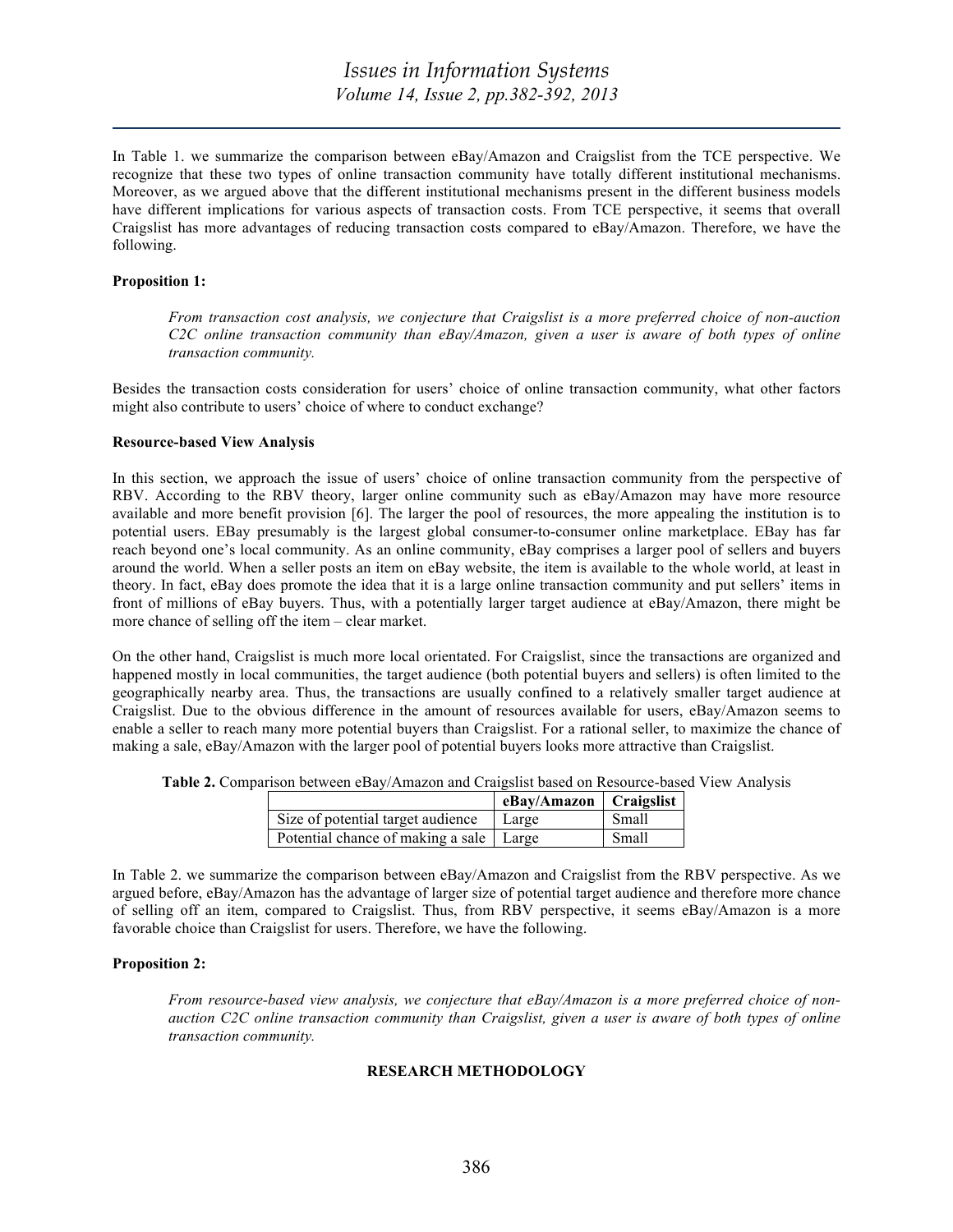In Table 1. we summarize the comparison between eBay/Amazon and Craigslist from the TCE perspective. We recognize that these two types of online transaction community have totally different institutional mechanisms. Moreover, as we argued above that the different institutional mechanisms present in the different business models have different implications for various aspects of transaction costs. From TCE perspective, it seems that overall Craigslist has more advantages of reducing transaction costs compared to eBay/Amazon. Therefore, we have the following.

### **Proposition 1:**

*From transaction cost analysis, we conjecture that Craigslist is a more preferred choice of non-auction C2C online transaction community than eBay/Amazon, given a user is aware of both types of online transaction community.*

Besides the transaction costs consideration for users' choice of online transaction community, what other factors might also contribute to users' choice of where to conduct exchange?

#### **Resource-based View Analysis**

In this section, we approach the issue of users' choice of online transaction community from the perspective of RBV. According to the RBV theory, larger online community such as eBay/Amazon may have more resource available and more benefit provision [6]. The larger the pool of resources, the more appealing the institution is to potential users. EBay presumably is the largest global consumer-to-consumer online marketplace. EBay has far reach beyond one's local community. As an online community, eBay comprises a larger pool of sellers and buyers around the world. When a seller posts an item on eBay website, the item is available to the whole world, at least in theory. In fact, eBay does promote the idea that it is a large online transaction community and put sellers' items in front of millions of eBay buyers. Thus, with a potentially larger target audience at eBay/Amazon, there might be more chance of selling off the item – clear market.

On the other hand, Craigslist is much more local orientated. For Craigslist, since the transactions are organized and happened mostly in local communities, the target audience (both potential buyers and sellers) is often limited to the geographically nearby area. Thus, the transactions are usually confined to a relatively smaller target audience at Craigslist. Due to the obvious difference in the amount of resources available for users, eBay/Amazon seems to enable a seller to reach many more potential buyers than Craigslist. For a rational seller, to maximize the chance of making a sale, eBay/Amazon with the larger pool of potential buyers looks more attractive than Craigslist.

| Table 2. Comparison between eBay/Amazon and Craigslist based on Resource-based View Analysis |  |  |  |  |  |
|----------------------------------------------------------------------------------------------|--|--|--|--|--|
|                                                                                              |  |  |  |  |  |

|                                           | eBay/Amazon   Craigslist |       |
|-------------------------------------------|--------------------------|-------|
| Size of potential target audience         | Large                    | Small |
| Potential chance of making a sale   Large |                          | Small |

In Table 2. we summarize the comparison between eBay/Amazon and Craigslist from the RBV perspective. As we argued before, eBay/Amazon has the advantage of larger size of potential target audience and therefore more chance of selling off an item, compared to Craigslist. Thus, from RBV perspective, it seems eBay/Amazon is a more favorable choice than Craigslist for users. Therefore, we have the following.

### **Proposition 2:**

*From resource-based view analysis, we conjecture that eBay/Amazon is a more preferred choice of nonauction C2C online transaction community than Craigslist, given a user is aware of both types of online transaction community.*

# **RESEARCH METHODOLOGY**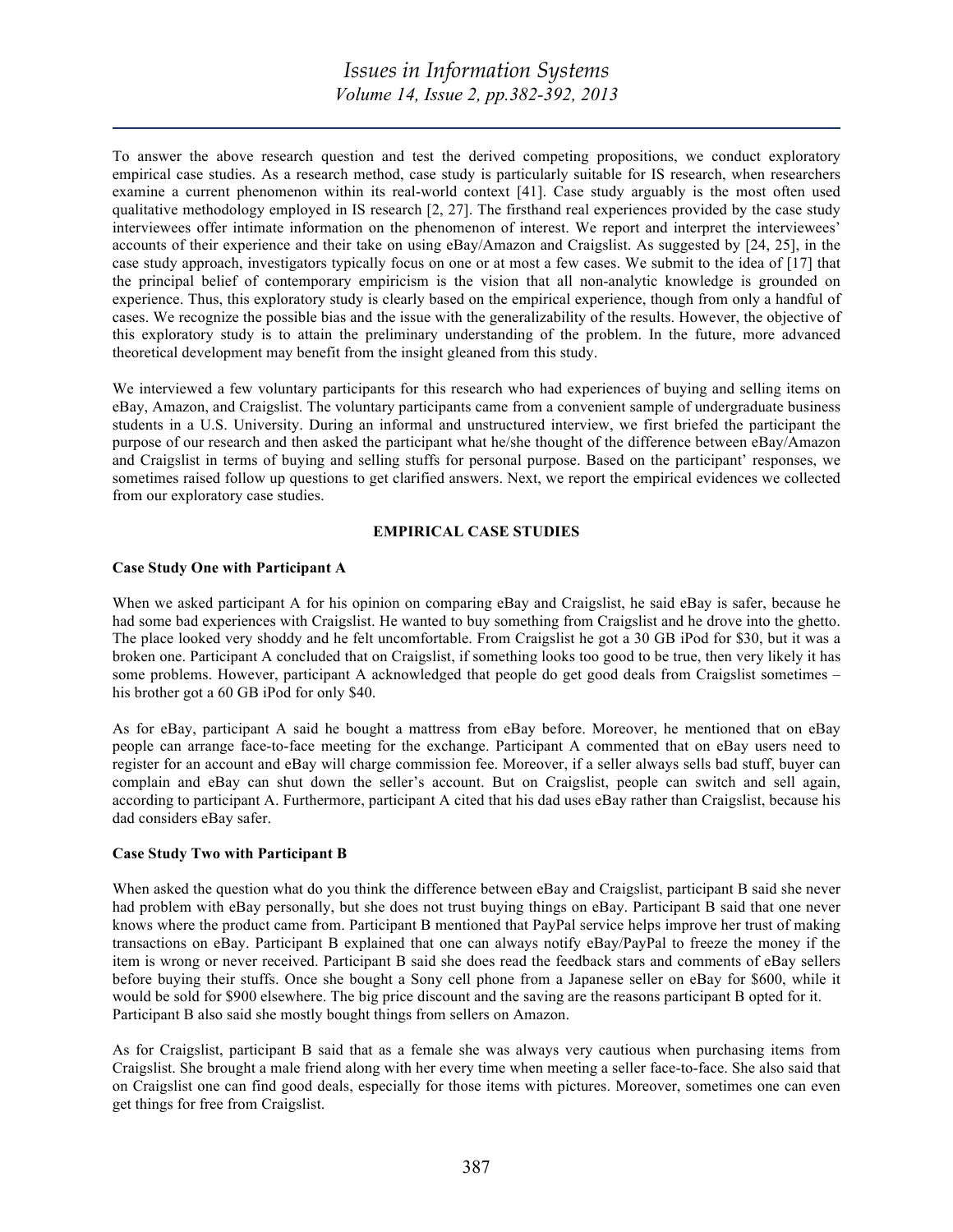To answer the above research question and test the derived competing propositions, we conduct exploratory empirical case studies. As a research method, case study is particularly suitable for IS research, when researchers examine a current phenomenon within its real-world context [41]. Case study arguably is the most often used qualitative methodology employed in IS research [2, 27]. The firsthand real experiences provided by the case study interviewees offer intimate information on the phenomenon of interest. We report and interpret the interviewees' accounts of their experience and their take on using eBay/Amazon and Craigslist. As suggested by [24, 25], in the case study approach, investigators typically focus on one or at most a few cases. We submit to the idea of [17] that the principal belief of contemporary empiricism is the vision that all non-analytic knowledge is grounded on experience. Thus, this exploratory study is clearly based on the empirical experience, though from only a handful of cases. We recognize the possible bias and the issue with the generalizability of the results. However, the objective of this exploratory study is to attain the preliminary understanding of the problem. In the future, more advanced theoretical development may benefit from the insight gleaned from this study.

We interviewed a few voluntary participants for this research who had experiences of buying and selling items on eBay, Amazon, and Craigslist. The voluntary participants came from a convenient sample of undergraduate business students in a U.S. University. During an informal and unstructured interview, we first briefed the participant the purpose of our research and then asked the participant what he/she thought of the difference between eBay/Amazon and Craigslist in terms of buying and selling stuffs for personal purpose. Based on the participant' responses, we sometimes raised follow up questions to get clarified answers. Next, we report the empirical evidences we collected from our exploratory case studies.

### **EMPIRICAL CASE STUDIES**

### **Case Study One with Participant A**

When we asked participant A for his opinion on comparing eBay and Craigslist, he said eBay is safer, because he had some bad experiences with Craigslist. He wanted to buy something from Craigslist and he drove into the ghetto. The place looked very shoddy and he felt uncomfortable. From Craigslist he got a 30 GB iPod for \$30, but it was a broken one. Participant A concluded that on Craigslist, if something looks too good to be true, then very likely it has some problems. However, participant A acknowledged that people do get good deals from Craigslist sometimes – his brother got a 60 GB iPod for only \$40.

As for eBay, participant A said he bought a mattress from eBay before. Moreover, he mentioned that on eBay people can arrange face-to-face meeting for the exchange. Participant A commented that on eBay users need to register for an account and eBay will charge commission fee. Moreover, if a seller always sells bad stuff, buyer can complain and eBay can shut down the seller's account. But on Craigslist, people can switch and sell again, according to participant A. Furthermore, participant A cited that his dad uses eBay rather than Craigslist, because his dad considers eBay safer.

### **Case Study Two with Participant B**

When asked the question what do you think the difference between eBay and Craigslist, participant B said she never had problem with eBay personally, but she does not trust buying things on eBay. Participant B said that one never knows where the product came from. Participant B mentioned that PayPal service helps improve her trust of making transactions on eBay. Participant B explained that one can always notify eBay/PayPal to freeze the money if the item is wrong or never received. Participant B said she does read the feedback stars and comments of eBay sellers before buying their stuffs. Once she bought a Sony cell phone from a Japanese seller on eBay for \$600, while it would be sold for \$900 elsewhere. The big price discount and the saving are the reasons participant B opted for it. Participant B also said she mostly bought things from sellers on Amazon.

As for Craigslist, participant B said that as a female she was always very cautious when purchasing items from Craigslist. She brought a male friend along with her every time when meeting a seller face-to-face. She also said that on Craigslist one can find good deals, especially for those items with pictures. Moreover, sometimes one can even get things for free from Craigslist.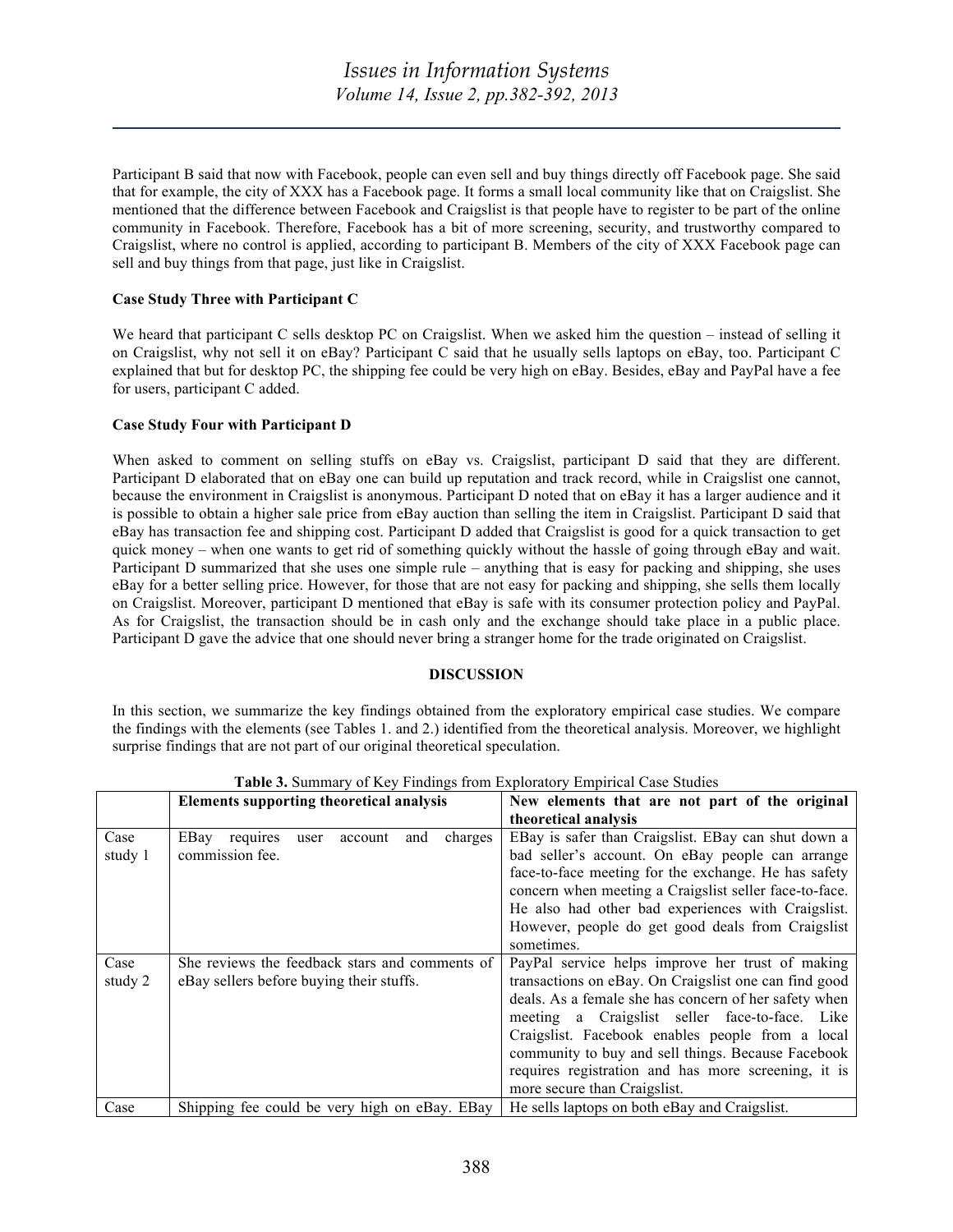Participant B said that now with Facebook, people can even sell and buy things directly off Facebook page. She said that for example, the city of XXX has a Facebook page. It forms a small local community like that on Craigslist. She mentioned that the difference between Facebook and Craigslist is that people have to register to be part of the online community in Facebook. Therefore, Facebook has a bit of more screening, security, and trustworthy compared to Craigslist, where no control is applied, according to participant B. Members of the city of XXX Facebook page can sell and buy things from that page, just like in Craigslist.

# **Case Study Three with Participant C**

We heard that participant C sells desktop PC on Craigslist. When we asked him the question – instead of selling it on Craigslist, why not sell it on eBay? Participant C said that he usually sells laptops on eBay, too. Participant C explained that but for desktop PC, the shipping fee could be very high on eBay. Besides, eBay and PayPal have a fee for users, participant C added.

# **Case Study Four with Participant D**

When asked to comment on selling stuffs on eBay vs. Craigslist, participant D said that they are different. Participant D elaborated that on eBay one can build up reputation and track record, while in Craigslist one cannot, because the environment in Craigslist is anonymous. Participant D noted that on eBay it has a larger audience and it is possible to obtain a higher sale price from eBay auction than selling the item in Craigslist. Participant D said that eBay has transaction fee and shipping cost. Participant D added that Craigslist is good for a quick transaction to get quick money – when one wants to get rid of something quickly without the hassle of going through eBay and wait. Participant D summarized that she uses one simple rule – anything that is easy for packing and shipping, she uses eBay for a better selling price. However, for those that are not easy for packing and shipping, she sells them locally on Craigslist. Moreover, participant D mentioned that eBay is safe with its consumer protection policy and PayPal. As for Craigslist, the transaction should be in cash only and the exchange should take place in a public place. Participant D gave the advice that one should never bring a stranger home for the trade originated on Craigslist.

# **DISCUSSION**

In this section, we summarize the key findings obtained from the exploratory empirical case studies. We compare the findings with the elements (see Tables 1. and 2.) identified from the theoretical analysis. Moreover, we highlight surprise findings that are not part of our original theoretical speculation.

|                 | <b>Elements supporting theoretical analysis</b>                                            | New elements that are not part of the original                                                                                                                                                                                                                                                                                                                                                                        |  |  |
|-----------------|--------------------------------------------------------------------------------------------|-----------------------------------------------------------------------------------------------------------------------------------------------------------------------------------------------------------------------------------------------------------------------------------------------------------------------------------------------------------------------------------------------------------------------|--|--|
|                 |                                                                                            | theoretical analysis                                                                                                                                                                                                                                                                                                                                                                                                  |  |  |
| Case<br>study 1 | EBay<br>charges<br>requires<br>and<br>account<br>user<br>commission fee.                   | EBay is safer than Craigslist. EBay can shut down a<br>bad seller's account. On eBay people can arrange<br>face-to-face meeting for the exchange. He has safety<br>concern when meeting a Craigslist seller face-to-face.<br>He also had other bad experiences with Craigslist.<br>However, people do get good deals from Craigslist<br>sometimes.                                                                    |  |  |
| Case<br>study 2 | She reviews the feedback stars and comments of<br>eBay sellers before buying their stuffs. | PayPal service helps improve her trust of making<br>transactions on eBay. On Craigslist one can find good<br>deals. As a female she has concern of her safety when<br>meeting a Craigslist seller face-to-face. Like<br>Craigslist. Facebook enables people from a local<br>community to buy and sell things. Because Facebook<br>requires registration and has more screening, it is<br>more secure than Craigslist. |  |  |
| Case            | Shipping fee could be very high on eBay. EBay                                              | He sells laptops on both eBay and Craigslist.                                                                                                                                                                                                                                                                                                                                                                         |  |  |

**Table 3.** Summary of Key Findings from Exploratory Empirical Case Studies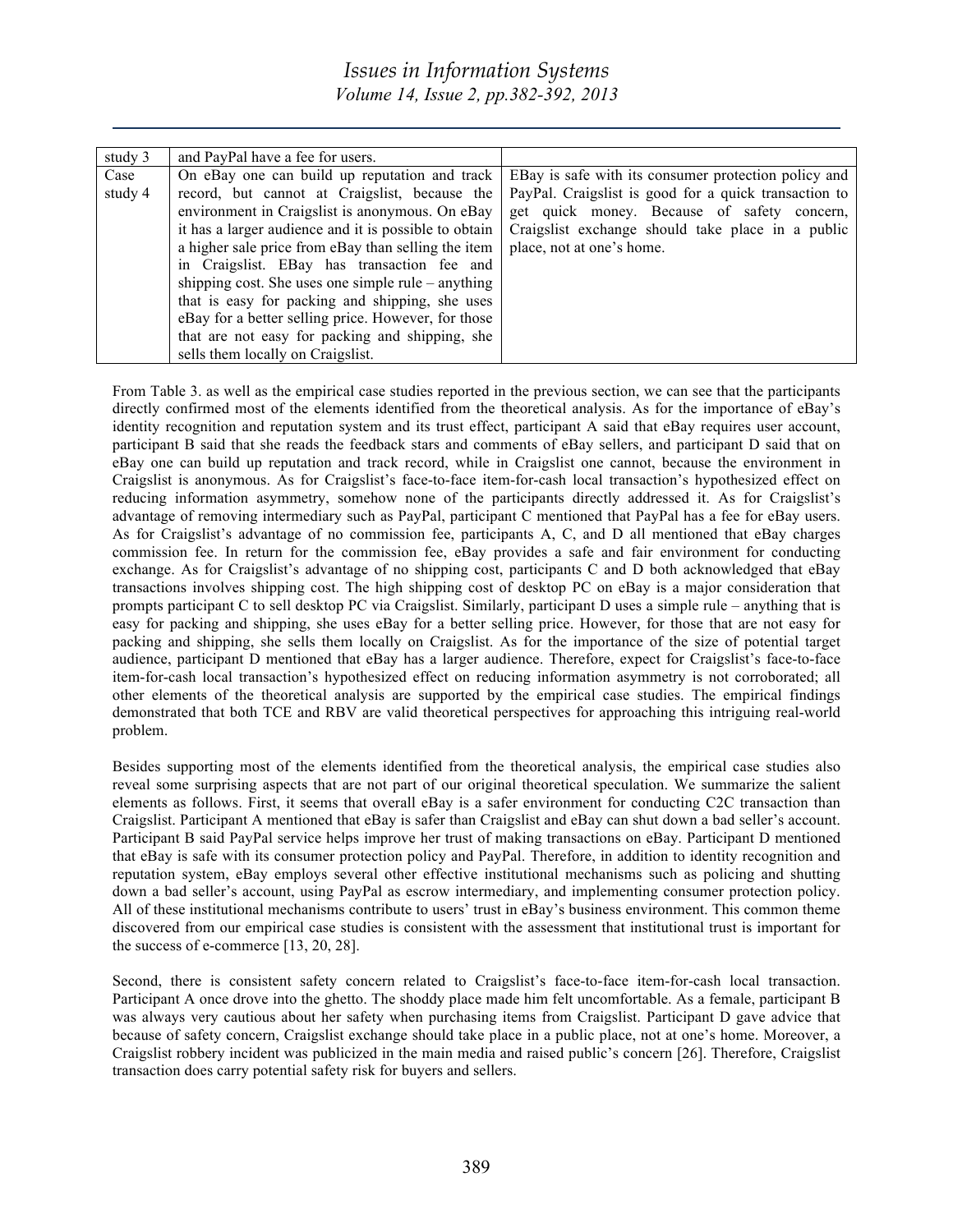# *Issues in Information Systems Volume 14, Issue 2, pp.382-392, 2013*

| study 3 | and PayPal have a fee for users.                      |                                                       |
|---------|-------------------------------------------------------|-------------------------------------------------------|
| Case    | On eBay one can build up reputation and track         | EBay is safe with its consumer protection policy and  |
| study 4 | record, but cannot at Craigslist, because the         | PayPal. Craigslist is good for a quick transaction to |
|         | environment in Craigslist is anonymous. On eBay       | get quick money. Because of safety concern,           |
|         | it has a larger audience and it is possible to obtain | Craigslist exchange should take place in a public     |
|         | a higher sale price from eBay than selling the item   | place, not at one's home.                             |
|         | in Craigslist. EBay has transaction fee and           |                                                       |
|         | shipping cost. She uses one simple rule $-$ anything  |                                                       |
|         | that is easy for packing and shipping, she uses       |                                                       |
|         | eBay for a better selling price. However, for those   |                                                       |
|         | that are not easy for packing and shipping, she       |                                                       |
|         | sells them locally on Craigslist.                     |                                                       |

From Table 3. as well as the empirical case studies reported in the previous section, we can see that the participants directly confirmed most of the elements identified from the theoretical analysis. As for the importance of eBay's identity recognition and reputation system and its trust effect, participant A said that eBay requires user account, participant B said that she reads the feedback stars and comments of eBay sellers, and participant D said that on eBay one can build up reputation and track record, while in Craigslist one cannot, because the environment in Craigslist is anonymous. As for Craigslist's face-to-face item-for-cash local transaction's hypothesized effect on reducing information asymmetry, somehow none of the participants directly addressed it. As for Craigslist's advantage of removing intermediary such as PayPal, participant C mentioned that PayPal has a fee for eBay users. As for Craigslist's advantage of no commission fee, participants A, C, and D all mentioned that eBay charges commission fee. In return for the commission fee, eBay provides a safe and fair environment for conducting exchange. As for Craigslist's advantage of no shipping cost, participants C and D both acknowledged that eBay transactions involves shipping cost. The high shipping cost of desktop PC on eBay is a major consideration that prompts participant C to sell desktop PC via Craigslist. Similarly, participant D uses a simple rule – anything that is easy for packing and shipping, she uses eBay for a better selling price. However, for those that are not easy for packing and shipping, she sells them locally on Craigslist. As for the importance of the size of potential target audience, participant D mentioned that eBay has a larger audience. Therefore, expect for Craigslist's face-to-face item-for-cash local transaction's hypothesized effect on reducing information asymmetry is not corroborated; all other elements of the theoretical analysis are supported by the empirical case studies. The empirical findings demonstrated that both TCE and RBV are valid theoretical perspectives for approaching this intriguing real-world problem.

Besides supporting most of the elements identified from the theoretical analysis, the empirical case studies also reveal some surprising aspects that are not part of our original theoretical speculation. We summarize the salient elements as follows. First, it seems that overall eBay is a safer environment for conducting C2C transaction than Craigslist. Participant A mentioned that eBay is safer than Craigslist and eBay can shut down a bad seller's account. Participant B said PayPal service helps improve her trust of making transactions on eBay. Participant D mentioned that eBay is safe with its consumer protection policy and PayPal. Therefore, in addition to identity recognition and reputation system, eBay employs several other effective institutional mechanisms such as policing and shutting down a bad seller's account, using PayPal as escrow intermediary, and implementing consumer protection policy. All of these institutional mechanisms contribute to users' trust in eBay's business environment. This common theme discovered from our empirical case studies is consistent with the assessment that institutional trust is important for the success of e-commerce [13, 20, 28].

Second, there is consistent safety concern related to Craigslist's face-to-face item-for-cash local transaction. Participant A once drove into the ghetto. The shoddy place made him felt uncomfortable. As a female, participant B was always very cautious about her safety when purchasing items from Craigslist. Participant D gave advice that because of safety concern, Craigslist exchange should take place in a public place, not at one's home. Moreover, a Craigslist robbery incident was publicized in the main media and raised public's concern [26]. Therefore, Craigslist transaction does carry potential safety risk for buyers and sellers.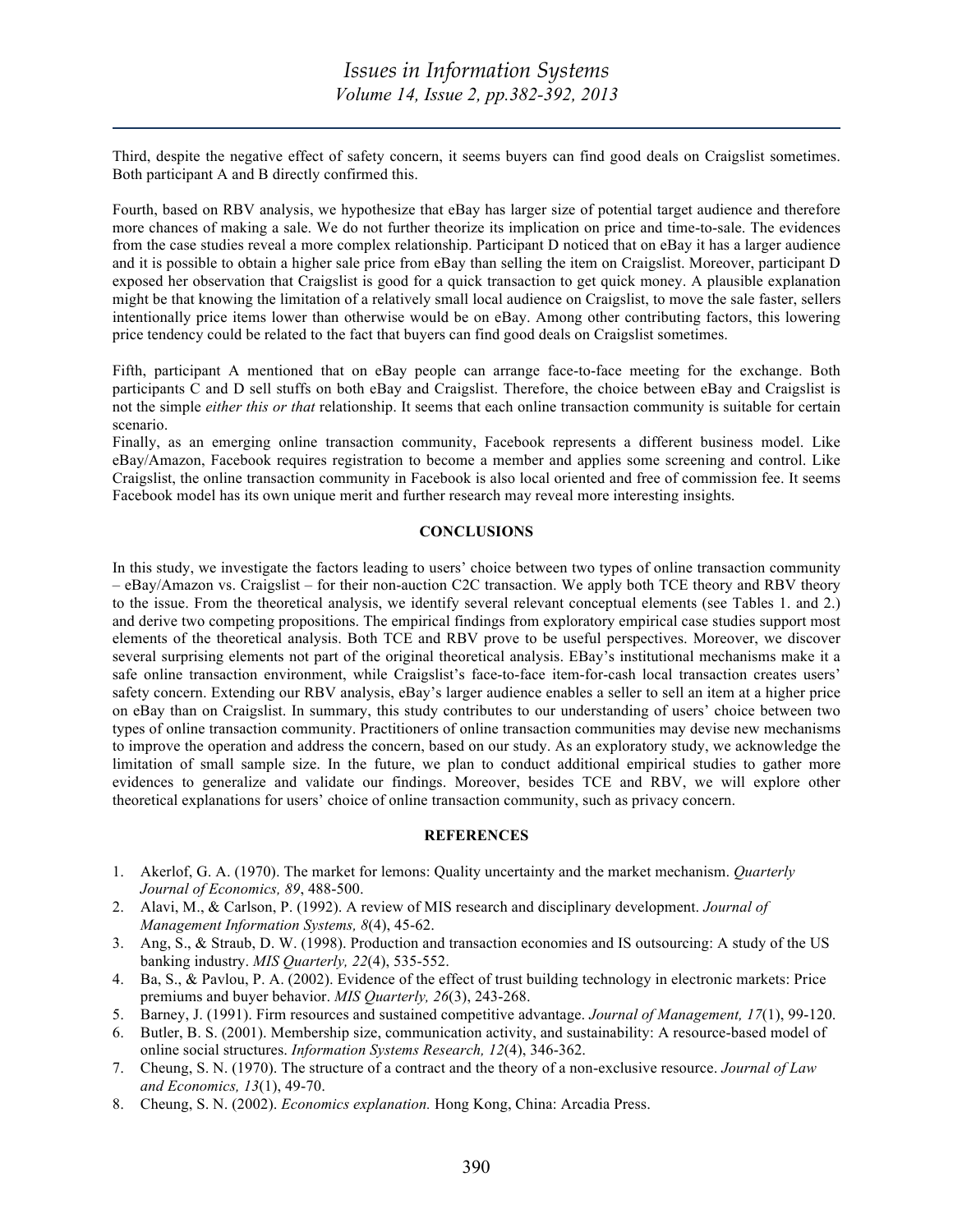Third, despite the negative effect of safety concern, it seems buyers can find good deals on Craigslist sometimes. Both participant A and B directly confirmed this.

Fourth, based on RBV analysis, we hypothesize that eBay has larger size of potential target audience and therefore more chances of making a sale. We do not further theorize its implication on price and time-to-sale. The evidences from the case studies reveal a more complex relationship. Participant D noticed that on eBay it has a larger audience and it is possible to obtain a higher sale price from eBay than selling the item on Craigslist. Moreover, participant D exposed her observation that Craigslist is good for a quick transaction to get quick money. A plausible explanation might be that knowing the limitation of a relatively small local audience on Craigslist, to move the sale faster, sellers intentionally price items lower than otherwise would be on eBay. Among other contributing factors, this lowering price tendency could be related to the fact that buyers can find good deals on Craigslist sometimes.

Fifth, participant A mentioned that on eBay people can arrange face-to-face meeting for the exchange. Both participants C and D sell stuffs on both eBay and Craigslist. Therefore, the choice between eBay and Craigslist is not the simple *either this or that* relationship. It seems that each online transaction community is suitable for certain scenario.

Finally, as an emerging online transaction community, Facebook represents a different business model. Like eBay/Amazon, Facebook requires registration to become a member and applies some screening and control. Like Craigslist, the online transaction community in Facebook is also local oriented and free of commission fee. It seems Facebook model has its own unique merit and further research may reveal more interesting insights.

### **CONCLUSIONS**

In this study, we investigate the factors leading to users' choice between two types of online transaction community – eBay/Amazon vs. Craigslist – for their non-auction C2C transaction. We apply both TCE theory and RBV theory to the issue. From the theoretical analysis, we identify several relevant conceptual elements (see Tables 1. and 2.) and derive two competing propositions. The empirical findings from exploratory empirical case studies support most elements of the theoretical analysis. Both TCE and RBV prove to be useful perspectives. Moreover, we discover several surprising elements not part of the original theoretical analysis. EBay's institutional mechanisms make it a safe online transaction environment, while Craigslist's face-to-face item-for-cash local transaction creates users' safety concern. Extending our RBV analysis, eBay's larger audience enables a seller to sell an item at a higher price on eBay than on Craigslist. In summary, this study contributes to our understanding of users' choice between two types of online transaction community. Practitioners of online transaction communities may devise new mechanisms to improve the operation and address the concern, based on our study. As an exploratory study, we acknowledge the limitation of small sample size. In the future, we plan to conduct additional empirical studies to gather more evidences to generalize and validate our findings. Moreover, besides TCE and RBV, we will explore other theoretical explanations for users' choice of online transaction community, such as privacy concern.

### **REFERENCES**

- 1. Akerlof, G. A. (1970). The market for lemons: Quality uncertainty and the market mechanism. *Quarterly Journal of Economics, 89*, 488-500.
- 2. Alavi, M., & Carlson, P. (1992). A review of MIS research and disciplinary development. *Journal of Management Information Systems, 8*(4), 45-62.
- 3. Ang, S., & Straub, D. W. (1998). Production and transaction economies and IS outsourcing: A study of the US banking industry. *MIS Quarterly, 22*(4), 535-552.
- 4. Ba, S., & Pavlou, P. A. (2002). Evidence of the effect of trust building technology in electronic markets: Price premiums and buyer behavior. *MIS Quarterly, 26*(3), 243-268.
- 5. Barney, J. (1991). Firm resources and sustained competitive advantage. *Journal of Management, 17*(1), 99-120.
- 6. Butler, B. S. (2001). Membership size, communication activity, and sustainability: A resource-based model of online social structures. *Information Systems Research, 12*(4), 346-362.
- 7. Cheung, S. N. (1970). The structure of a contract and the theory of a non-exclusive resource. *Journal of Law and Economics, 13*(1), 49-70.
- 8. Cheung, S. N. (2002). *Economics explanation.* Hong Kong, China: Arcadia Press.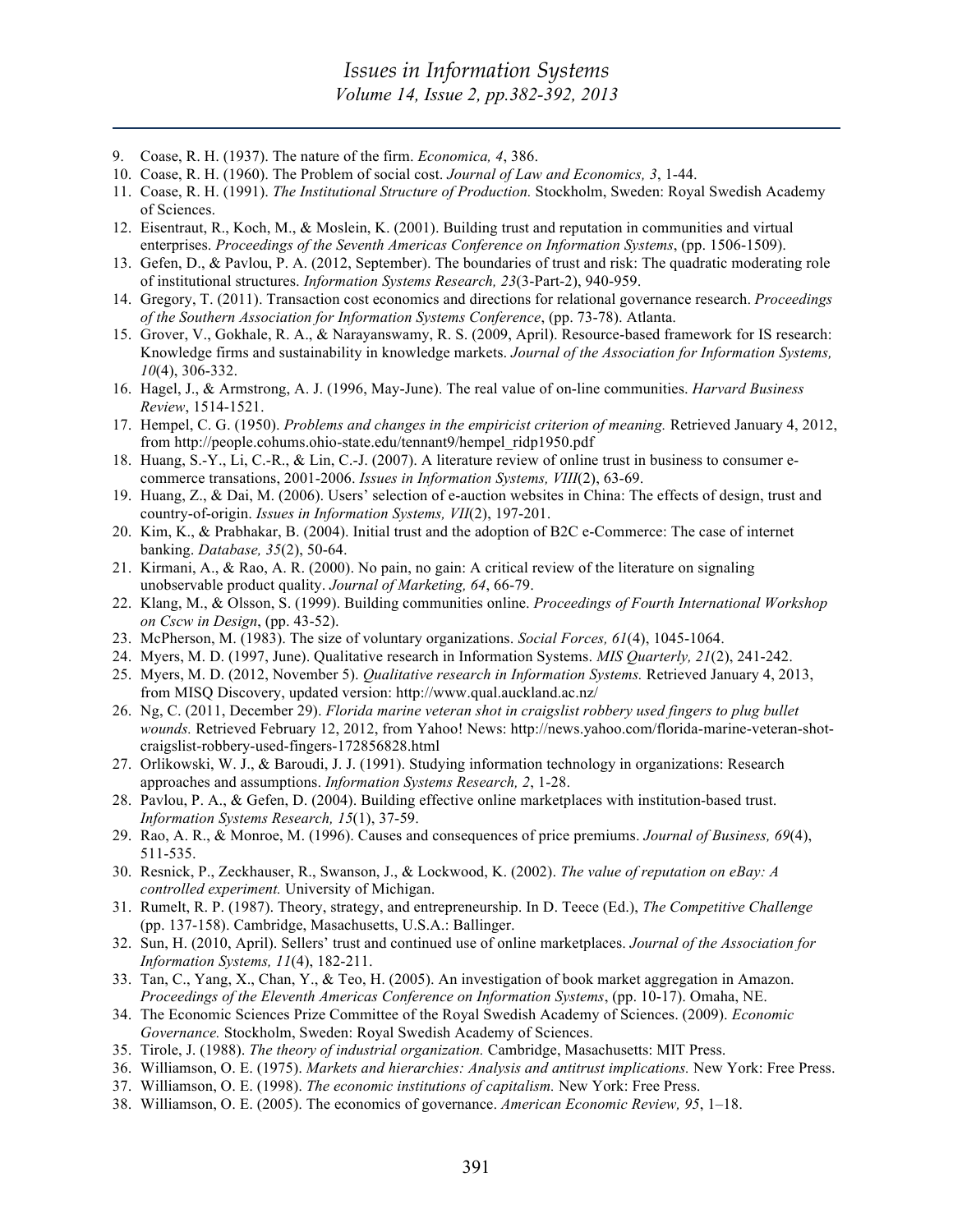- 9. Coase, R. H. (1937). The nature of the firm. *Economica, 4*, 386.
- 10. Coase, R. H. (1960). The Problem of social cost. *Journal of Law and Economics, 3*, 1-44.
- 11. Coase, R. H. (1991). *The Institutional Structure of Production.* Stockholm, Sweden: Royal Swedish Academy of Sciences.
- 12. Eisentraut, R., Koch, M., & Moslein, K. (2001). Building trust and reputation in communities and virtual enterprises. *Proceedings of the Seventh Americas Conference on Information Systems*, (pp. 1506-1509).
- 13. Gefen, D., & Pavlou, P. A. (2012, September). The boundaries of trust and risk: The quadratic moderating role of institutional structures. *Information Systems Research, 23*(3-Part-2), 940-959.
- 14. Gregory, T. (2011). Transaction cost economics and directions for relational governance research. *Proceedings of the Southern Association for Information Systems Conference*, (pp. 73-78). Atlanta.
- 15. Grover, V., Gokhale, R. A., & Narayanswamy, R. S. (2009, April). Resource-based framework for IS research: Knowledge firms and sustainability in knowledge markets. *Journal of the Association for Information Systems, 10*(4), 306-332.
- 16. Hagel, J., & Armstrong, A. J. (1996, May-June). The real value of on-line communities. *Harvard Business Review*, 1514-1521.
- 17. Hempel, C. G. (1950). *Problems and changes in the empiricist criterion of meaning.* Retrieved January 4, 2012, from http://people.cohums.ohio-state.edu/tennant9/hempel\_ridp1950.pdf
- 18. Huang, S.-Y., Li, C.-R., & Lin, C.-J. (2007). A literature review of online trust in business to consumer ecommerce transations, 2001-2006. *Issues in Information Systems, VIII*(2), 63-69.
- 19. Huang, Z., & Dai, M. (2006). Users' selection of e-auction websites in China: The effects of design, trust and country-of-origin. *Issues in Information Systems, VII*(2), 197-201.
- 20. Kim, K., & Prabhakar, B. (2004). Initial trust and the adoption of B2C e-Commerce: The case of internet banking. *Database, 35*(2), 50-64.
- 21. Kirmani, A., & Rao, A. R. (2000). No pain, no gain: A critical review of the literature on signaling unobservable product quality. *Journal of Marketing, 64*, 66-79.
- 22. Klang, M., & Olsson, S. (1999). Building communities online. *Proceedings of Fourth International Workshop on Cscw in Design*, (pp. 43-52).
- 23. McPherson, M. (1983). The size of voluntary organizations. *Social Forces, 61*(4), 1045-1064.
- 24. Myers, M. D. (1997, June). Qualitative research in Information Systems. *MIS Quarterly, 21*(2), 241-242.
- 25. Myers, M. D. (2012, November 5). *Qualitative research in Information Systems.* Retrieved January 4, 2013, from MISQ Discovery, updated version: http://www.qual.auckland.ac.nz/
- 26. Ng, C. (2011, December 29). *Florida marine veteran shot in craigslist robbery used fingers to plug bullet wounds.* Retrieved February 12, 2012, from Yahoo! News: http://news.yahoo.com/florida-marine-veteran-shotcraigslist-robbery-used-fingers-172856828.html
- 27. Orlikowski, W. J., & Baroudi, J. J. (1991). Studying information technology in organizations: Research approaches and assumptions. *Information Systems Research, 2*, 1-28.
- 28. Pavlou, P. A., & Gefen, D. (2004). Building effective online marketplaces with institution-based trust. *Information Systems Research, 15*(1), 37-59.
- 29. Rao, A. R., & Monroe, M. (1996). Causes and consequences of price premiums. *Journal of Business, 69*(4), 511-535.
- 30. Resnick, P., Zeckhauser, R., Swanson, J., & Lockwood, K. (2002). *The value of reputation on eBay: A controlled experiment.* University of Michigan.
- 31. Rumelt, R. P. (1987). Theory, strategy, and entrepreneurship. In D. Teece (Ed.), *The Competitive Challenge* (pp. 137-158). Cambridge, Masachusetts, U.S.A.: Ballinger.
- 32. Sun, H. (2010, April). Sellers' trust and continued use of online marketplaces. *Journal of the Association for Information Systems, 11*(4), 182-211.
- 33. Tan, C., Yang, X., Chan, Y., & Teo, H. (2005). An investigation of book market aggregation in Amazon. *Proceedings of the Eleventh Americas Conference on Information Systems*, (pp. 10-17). Omaha, NE.
- 34. The Economic Sciences Prize Committee of the Royal Swedish Academy of Sciences. (2009). *Economic Governance.* Stockholm, Sweden: Royal Swedish Academy of Sciences.
- 35. Tirole, J. (1988). *The theory of industrial organization.* Cambridge, Masachusetts: MIT Press.
- 36. Williamson, O. E. (1975). *Markets and hierarchies: Analysis and antitrust implications.* New York: Free Press.
- 37. Williamson, O. E. (1998). *The economic institutions of capitalism.* New York: Free Press.
- 38. Williamson, O. E. (2005). The economics of governance. *American Economic Review, 95*, 1–18.